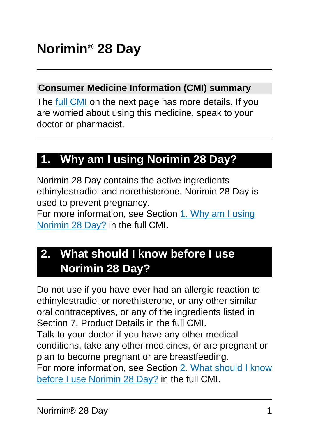#### **Consumer Medicine Information (CMI) summary**

The [full CMI](#page-4-0) on the next page has more details. If you are worried about using this medicine, speak to your doctor or pharmacist.

## **1. Why am I using Norimin 28 Day?**

Norimin 28 Day contains the active ingredients ethinylestradiol and norethisterone. Norimin 28 Day is used to prevent pregnancy.

For more information, see Section [1. Why am I using](#page-4-1) [Norimin 28 Day?](#page-4-1) in the full CMI.

## **2. What should I know before I use Norimin 28 Day?**

Do not use if you have ever had an allergic reaction to ethinylestradiol or norethisterone, or any other similar oral contraceptives, or any of the ingredients listed in Section 7. Product Details in the full CMI. Talk to your doctor if you have any other medical conditions, take any other medicines, or are pregnant or plan to become pregnant or are breastfeeding. For more information, see Section [2. What should I know](#page-5-0) [before I use Norimin 28 Day?](#page-5-0) in the full CMI.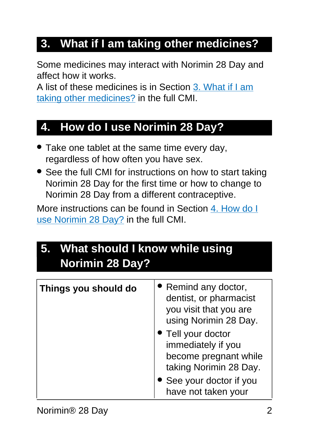## **3. What if I am taking other medicines?**

Some medicines may interact with Norimin 28 Day and affect how it works.

A list of these medicines is in Section [3. What if I am](#page-11-0) [taking other medicines?](#page-11-0) in the full CMI.

### **4. How do I use Norimin 28 Day?**

- Take one tablet at the same time every day, regardless of how often you have sex.
- See the full CMI for instructions on how to start taking Norimin 28 Day for the first time or how to change to Norimin 28 Day from a different contraceptive.

More instructions can be found in Section [4. How do I](#page-13-0) [use Norimin 28 Day?](#page-13-0) in the full CMI.

## **5. What should I know while using Norimin 28 Day?**

| Things you should do | • Remind any doctor,<br>dentist, or pharmacist<br>you visit that you are<br>using Norimin 28 Day.<br>• Tell your doctor<br>immediately if you<br>become pregnant while<br>taking Norimin 28 Day. |
|----------------------|--------------------------------------------------------------------------------------------------------------------------------------------------------------------------------------------------|
|                      | • See your doctor if you<br>have not taken your                                                                                                                                                  |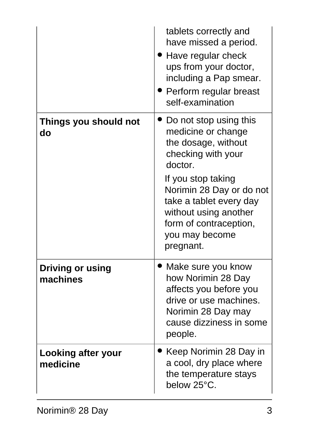|                                     | tablets correctly and<br>have missed a period.<br>• Have regular check<br>ups from your doctor,<br>including a Pap smear.<br>• Perform regular breast<br>self-examination                                                                                           |
|-------------------------------------|---------------------------------------------------------------------------------------------------------------------------------------------------------------------------------------------------------------------------------------------------------------------|
| Things you should not<br>do         | Do not stop using this<br>medicine or change<br>the dosage, without<br>checking with your<br>doctor.<br>If you stop taking<br>Norimin 28 Day or do not<br>take a tablet every day<br>without using another<br>form of contraception,<br>you may become<br>pregnant. |
| <b>Driving or using</b><br>machines | Make sure you know<br>how Norimin 28 Day<br>affects you before you<br>drive or use machines.<br>Norimin 28 Day may<br>cause dizziness in some<br>people.                                                                                                            |
| Looking after your<br>medicine      | Keep Norimin 28 Day in<br>a cool, dry place where<br>the temperature stays<br>below 25°C.                                                                                                                                                                           |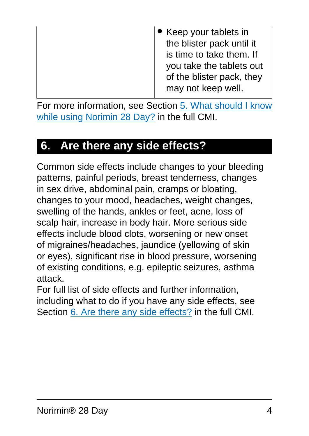| • Keep your tablets in<br>the blister pack until it<br>is time to take them. If<br>you take the tablets out<br>of the blister pack, they<br>may not keep well. |
|----------------------------------------------------------------------------------------------------------------------------------------------------------------|
|                                                                                                                                                                |

For more information, see Section [5. What should I know](#page-19-0) [while using Norimin 28 Day?](#page-19-0) in the full CMI.

## **6. Are there any side effects?**

Common side effects include changes to your bleeding patterns, painful periods, breast tenderness, changes in sex drive, abdominal pain, cramps or bloating, changes to your mood, headaches, weight changes, swelling of the hands, ankles or feet, acne, loss of scalp hair, increase in body hair. More serious side effects include blood clots, worsening or new onset of migraines/headaches, jaundice (yellowing of skin or eyes), significant rise in blood pressure, worsening of existing conditions, e.g. epileptic seizures, asthma attack.

For full list of side effects and further information, including what to do if you have any side effects, see Section [6. Are there any side effects?](#page-25-0) in the full CMI.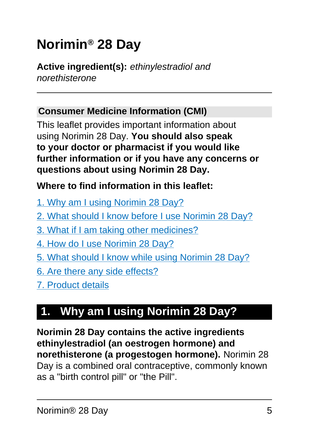# <span id="page-4-0"></span>**Norimin® 28 Day**

#### **Active ingredient(s):** ethinylestradiol and norethisterone

#### **Consumer Medicine Information (CMI)**

This leaflet provides important information about using Norimin 28 Day. **You should also speak to your doctor or pharmacist if you would like further information or if you have any concerns or questions about using Norimin 28 Day.**

#### **Where to find information in this leaflet:**

- [1. Why am I using Norimin 28 Day?](#page-4-1)
- [2. What should I know before I use Norimin 28 Day?](#page-5-0)
- [3. What if I am taking other medicines?](#page-11-0)
- [4. How do I use Norimin 28 Day?](#page-13-0)
- [5. What should I know while using Norimin 28 Day?](#page-19-0)
- [6. Are there any side effects?](#page-25-0)
- [7. Product details](#page-32-0)

## <span id="page-4-1"></span>**1. Why am I using Norimin 28 Day?**

**Norimin 28 Day contains the active ingredients ethinylestradiol (an oestrogen hormone) and norethisterone (a progestogen hormone).** Norimin 28 Day is a combined oral contraceptive, commonly known as a "birth control pill" or "the Pill".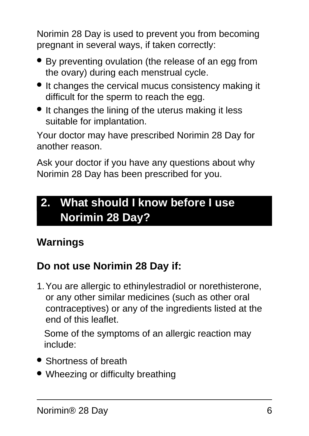Norimin 28 Day is used to prevent you from becoming pregnant in several ways, if taken correctly:

- By preventing ovulation (the release of an egg from the ovary) during each menstrual cycle.
- It changes the cervical mucus consistency making it difficult for the sperm to reach the egg.
- It changes the lining of the uterus making it less suitable for implantation.

Your doctor may have prescribed Norimin 28 Day for another reason.

Ask your doctor if you have any questions about why Norimin 28 Day has been prescribed for you.

## <span id="page-5-0"></span>**2. What should I know before I use Norimin 28 Day?**

### **Warnings**

### **Do not use Norimin 28 Day if:**

1.You are allergic to ethinylestradiol or norethisterone, or any other similar medicines (such as other oral contraceptives) or any of the ingredients listed at the end of this leaflet.

Some of the symptoms of an allergic reaction may include:

- Shortness of breath
- Wheezing or difficulty breathing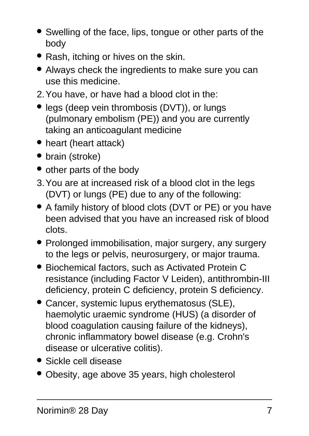- Swelling of the face, lips, tongue or other parts of the body
- Rash, itching or hives on the skin.
- Always check the ingredients to make sure you can use this medicine.
- 2.You have, or have had a blood clot in the:
- legs (deep vein thrombosis (DVT)), or lungs (pulmonary embolism (PE)) and you are currently taking an anticoagulant medicine
- heart (heart attack)
- brain (stroke)
- other parts of the body
- 3.You are at increased risk of a blood clot in the legs (DVT) or lungs (PE) due to any of the following:
- A family history of blood clots (DVT or PE) or you have been advised that you have an increased risk of blood clots.
- Prolonged immobilisation, major surgery, any surgery to the legs or pelvis, neurosurgery, or major trauma.
- Biochemical factors, such as Activated Protein C resistance (including Factor V Leiden), antithrombin-III deficiency, protein C deficiency, protein S deficiency.
- Cancer, systemic lupus erythematosus (SLE), haemolytic uraemic syndrome (HUS) (a disorder of blood coagulation causing failure of the kidneys), chronic inflammatory bowel disease (e.g. Crohn's disease or ulcerative colitis).
- Sickle cell disease
- Obesity, age above 35 years, high cholesterol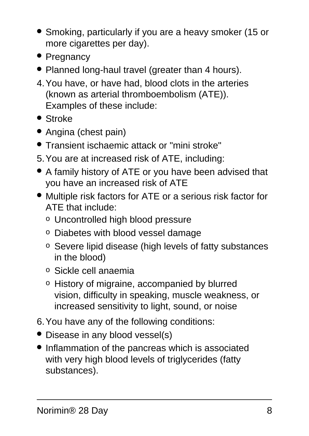- Smoking, particularly if you are a heavy smoker (15 or more cigarettes per day).
- Pregnancy
- Planned long-haul travel (greater than 4 hours).
- 4.You have, or have had, blood clots in the arteries (known as arterial thromboembolism (ATE)). Examples of these include:
- Stroke
- Angina (chest pain)
- Transient ischaemic attack or "mini stroke"
- 5.You are at increased risk of ATE, including:
- A family history of ATE or you have been advised that you have an increased risk of ATE
- Multiple risk factors for ATE or a serious risk factor for ATE that include:
	- o Uncontrolled high blood pressure
	- o Diabetes with blood vessel damage
	- o Severe lipid disease (high levels of fatty substances in the blood)
	- o Sickle cell anaemia
	- o History of migraine, accompanied by blurred vision, difficulty in speaking, muscle weakness, or increased sensitivity to light, sound, or noise
- 6.You have any of the following conditions:
- Disease in any blood vessel(s)
- Inflammation of the pancreas which is associated with very high blood levels of triglycerides (fatty substances).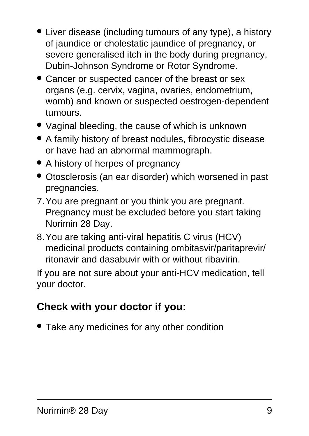- Liver disease (including tumours of any type), a history of jaundice or cholestatic jaundice of pregnancy, or severe generalised itch in the body during pregnancy, Dubin-Johnson Syndrome or Rotor Syndrome.
- Cancer or suspected cancer of the breast or sex organs (e.g. cervix, vagina, ovaries, endometrium, womb) and known or suspected oestrogen-dependent tumours.
- Vaginal bleeding, the cause of which is unknown
- A family history of breast nodules, fibrocystic disease or have had an abnormal mammograph.
- A history of herpes of pregnancy
- Otosclerosis (an ear disorder) which worsened in past pregnancies.
- 7.You are pregnant or you think you are pregnant. Pregnancy must be excluded before you start taking Norimin 28 Day.
- 8.You are taking anti-viral hepatitis C virus (HCV) medicinal products containing ombitasvir/paritaprevir/ ritonavir and dasabuvir with or without ribavirin.

If you are not sure about your anti-HCV medication, tell your doctor.

### **Check with your doctor if you:**

• Take any medicines for any other condition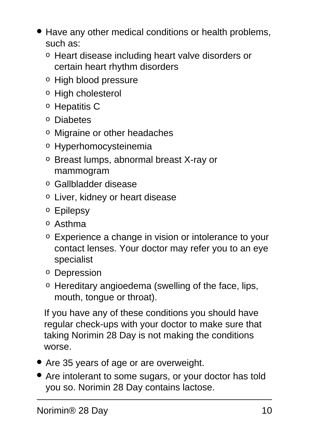- Have any other medical conditions or health problems, such as:
	- o Heart disease including heart valve disorders or certain heart rhythm disorders
	- o High blood pressure
	- o High cholesterol
	- o Hepatitis C
	- o Diabetes
	- o Migraine or other headaches
	- o Hyperhomocysteinemia
	- o Breast lumps, abnormal breast X-ray or mammogram
	- o Gallbladder disease
	- o Liver, kidney or heart disease
	- o Epilepsy
	- o Asthma
	- o Experience a change in vision or intolerance to your contact lenses. Your doctor may refer you to an eye specialist
	- o Depression
	- o Hereditary angioedema (swelling of the face, lips, mouth, tongue or throat).

If you have any of these conditions you should have regular check-ups with your doctor to make sure that taking Norimin 28 Day is not making the conditions worse.

- Are 35 years of age or are overweight.
- Are intolerant to some sugars, or your doctor has told you so. Norimin 28 Day contains lactose.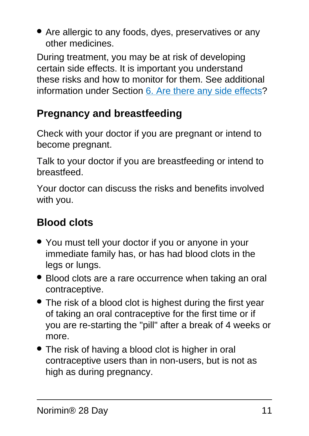• Are allergic to any foods, dyes, preservatives or any other medicines.

During treatment, you may be at risk of developing certain side effects. It is important you understand these risks and how to monitor for them. See additional information under Section [6. Are there any side effects](#page-25-0)?

### **Pregnancy and breastfeeding**

Check with your doctor if you are pregnant or intend to become pregnant.

Talk to your doctor if you are breastfeeding or intend to breastfeed.

Your doctor can discuss the risks and benefits involved with you.

## **Blood clots**

- You must tell your doctor if you or anyone in your immediate family has, or has had blood clots in the legs or lungs.
- Blood clots are a rare occurrence when taking an oral contraceptive.
- The risk of a blood clot is highest during the first year of taking an oral contraceptive for the first time or if you are re-starting the "pill" after a break of 4 weeks or more.
- The risk of having a blood clot is higher in oral contraceptive users than in non-users, but is not as high as during pregnancy.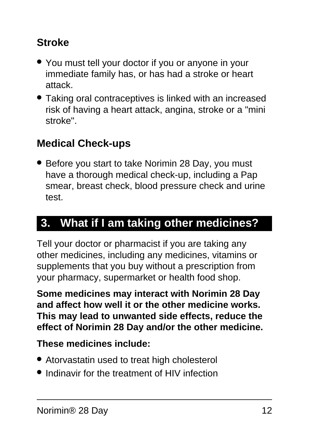### **Stroke**

- You must tell your doctor if you or anyone in your immediate family has, or has had a stroke or heart attack.
- Taking oral contraceptives is linked with an increased risk of having a heart attack, angina, stroke or a "mini stroke".

### **Medical Check-ups**

• Before you start to take Norimin 28 Day, you must have a thorough medical check-up, including a Pap smear, breast check, blood pressure check and urine test.

### <span id="page-11-0"></span>**3. What if I am taking other medicines?**

Tell your doctor or pharmacist if you are taking any other medicines, including any medicines, vitamins or supplements that you buy without a prescription from your pharmacy, supermarket or health food shop.

**Some medicines may interact with Norimin 28 Day and affect how well it or the other medicine works. This may lead to unwanted side effects, reduce the effect of Norimin 28 Day and/or the other medicine.**

#### **These medicines include:**

- Atorvastatin used to treat high cholesterol
- Indinavir for the treatment of HIV infection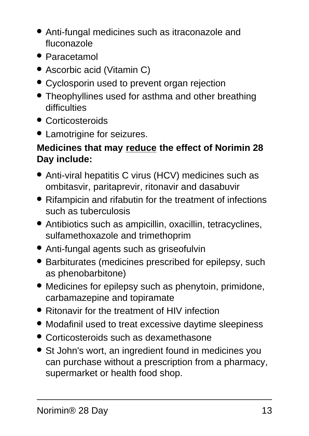- Anti-fungal medicines such as itraconazole and fluconazole
- Paracetamol
- Ascorbic acid (Vitamin C)
- Cyclosporin used to prevent organ rejection
- Theophyllines used for asthma and other breathing difficulties
- Corticosteroids
- Lamotrigine for seizures.

#### **Medicines that may reduce the effect of Norimin 28 Day include:**

- Anti-viral hepatitis C virus (HCV) medicines such as ombitasvir, paritaprevir, ritonavir and dasabuvir
- Rifampicin and rifabutin for the treatment of infections such as tuberculosis
- Antibiotics such as ampicillin, oxacillin, tetracyclines, sulfamethoxazole and trimethoprim
- Anti-fungal agents such as griseofulvin
- Barbiturates (medicines prescribed for epilepsy, such as phenobarbitone)
- Medicines for epilepsy such as phenytoin, primidone, carbamazepine and topiramate
- Ritonavir for the treatment of HIV infection
- Modafinil used to treat excessive daytime sleepiness
- Corticosteroids such as dexamethasone
- St John's wort, an ingredient found in medicines you can purchase without a prescription from a pharmacy, supermarket or health food shop.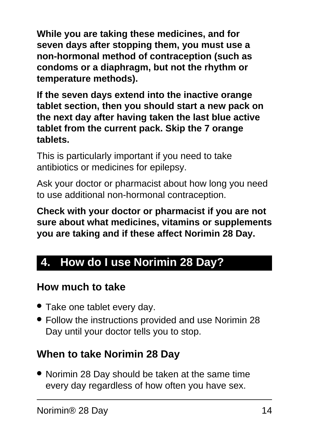**While you are taking these medicines, and for seven days after stopping them, you must use a non-hormonal method of contraception (such as condoms or a diaphragm, but not the rhythm or temperature methods).**

**If the seven days extend into the inactive orange tablet section, then you should start a new pack on the next day after having taken the last blue active tablet from the current pack. Skip the 7 orange tablets.**

This is particularly important if you need to take antibiotics or medicines for epilepsy.

Ask your doctor or pharmacist about how long you need to use additional non-hormonal contraception.

**Check with your doctor or pharmacist if you are not sure about what medicines, vitamins or supplements you are taking and if these affect Norimin 28 Day.**

### <span id="page-13-0"></span>**4. How do I use Norimin 28 Day?**

#### **How much to take**

- Take one tablet every day.
- Follow the instructions provided and use Norimin 28 Day until your doctor tells you to stop.

#### **When to take Norimin 28 Day**

• Norimin 28 Day should be taken at the same time every day regardless of how often you have sex.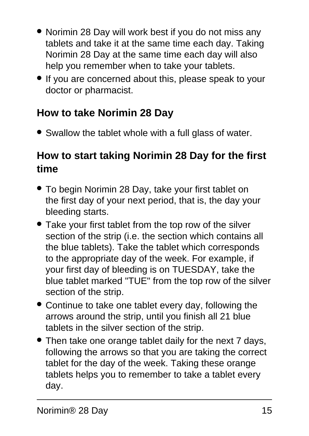- Norimin 28 Day will work best if you do not miss any tablets and take it at the same time each day. Taking Norimin 28 Day at the same time each day will also help you remember when to take your tablets.
- If you are concerned about this, please speak to your doctor or pharmacist.

### **How to take Norimin 28 Day**

• Swallow the tablet whole with a full glass of water.

### **How to start taking Norimin 28 Day for the first time**

- To begin Norimin 28 Day, take your first tablet on the first day of your next period, that is, the day your bleeding starts.
- Take your first tablet from the top row of the silver section of the strip (i.e. the section which contains all the blue tablets). Take the tablet which corresponds to the appropriate day of the week. For example, if your first day of bleeding is on TUESDAY, take the blue tablet marked "TUE" from the top row of the silver section of the strip.
- Continue to take one tablet every day, following the arrows around the strip, until you finish all 21 blue tablets in the silver section of the strip.
- Then take one orange tablet daily for the next 7 days, following the arrows so that you are taking the correct tablet for the day of the week. Taking these orange tablets helps you to remember to take a tablet every day.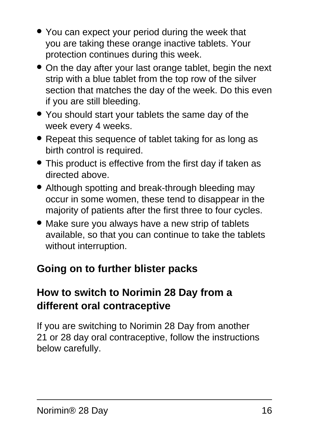- You can expect your period during the week that you are taking these orange inactive tablets. Your protection continues during this week.
- On the day after your last orange tablet, begin the next strip with a blue tablet from the top row of the silver section that matches the day of the week. Do this even if you are still bleeding.
- You should start your tablets the same day of the week every 4 weeks.
- Repeat this sequence of tablet taking for as long as birth control is required.
- This product is effective from the first day if taken as directed above.
- Although spotting and break-through bleeding may occur in some women, these tend to disappear in the majority of patients after the first three to four cycles.
- Make sure you always have a new strip of tablets available, so that you can continue to take the tablets without interruption.

### **Going on to further blister packs**

### **How to switch to Norimin 28 Day from a different oral contraceptive**

If you are switching to Norimin 28 Day from another 21 or 28 day oral contraceptive, follow the instructions below carefully.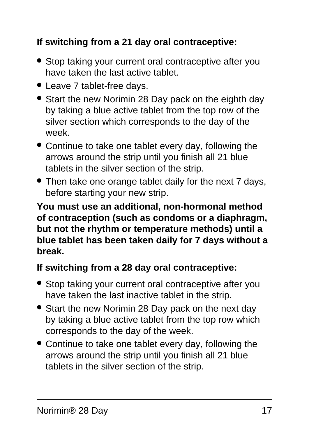#### **If switching from a 21 day oral contraceptive:**

- Stop taking your current oral contraceptive after you have taken the last active tablet.
- Leave 7 tablet-free days.
- Start the new Norimin 28 Day pack on the eighth day by taking a blue active tablet from the top row of the silver section which corresponds to the day of the week.
- Continue to take one tablet every day, following the arrows around the strip until you finish all 21 blue tablets in the silver section of the strip.
- Then take one orange tablet daily for the next 7 days, before starting your new strip.

**You must use an additional, non-hormonal method of contraception (such as condoms or a diaphragm, but not the rhythm or temperature methods) until a blue tablet has been taken daily for 7 days without a break.**

#### **If switching from a 28 day oral contraceptive:**

- Stop taking your current oral contraceptive after you have taken the last inactive tablet in the strip.
- Start the new Norimin 28 Day pack on the next day by taking a blue active tablet from the top row which corresponds to the day of the week.
- Continue to take one tablet every day, following the arrows around the strip until you finish all 21 blue tablets in the silver section of the strip.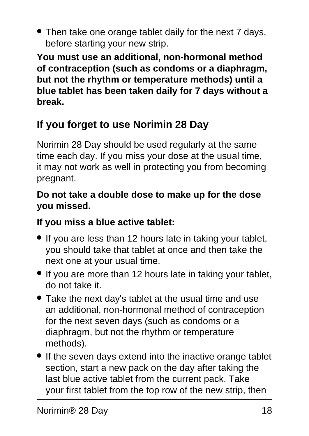• Then take one orange tablet daily for the next 7 days, before starting your new strip.

**You must use an additional, non-hormonal method of contraception (such as condoms or a diaphragm, but not the rhythm or temperature methods) until a blue tablet has been taken daily for 7 days without a break.**

## **If you forget to use Norimin 28 Day**

Norimin 28 Day should be used regularly at the same time each day. If you miss your dose at the usual time, it may not work as well in protecting you from becoming pregnant.

#### **Do not take a double dose to make up for the dose you missed.**

#### **If you miss a blue active tablet:**

- If you are less than 12 hours late in taking your tablet, you should take that tablet at once and then take the next one at your usual time.
- If you are more than 12 hours late in taking your tablet, do not take it.
- Take the next day's tablet at the usual time and use an additional, non-hormonal method of contraception for the next seven days (such as condoms or a diaphragm, but not the rhythm or temperature methods).
- If the seven days extend into the inactive orange tablet section, start a new pack on the day after taking the last blue active tablet from the current pack. Take your first tablet from the top row of the new strip, then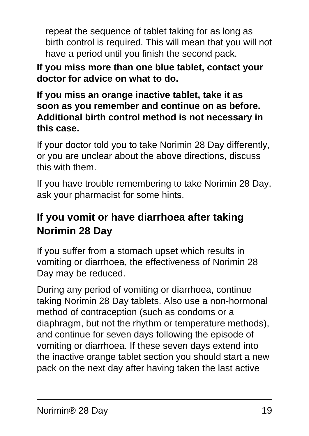repeat the sequence of tablet taking for as long as birth control is required. This will mean that you will not have a period until you finish the second pack.

**If you miss more than one blue tablet, contact your doctor for advice on what to do.**

**If you miss an orange inactive tablet, take it as soon as you remember and continue on as before. Additional birth control method is not necessary in this case.**

If your doctor told you to take Norimin 28 Day differently, or you are unclear about the above directions, discuss this with them.

If you have trouble remembering to take Norimin 28 Day, ask your pharmacist for some hints.

### **If you vomit or have diarrhoea after taking Norimin 28 Day**

If you suffer from a stomach upset which results in vomiting or diarrhoea, the effectiveness of Norimin 28 Day may be reduced.

During any period of vomiting or diarrhoea, continue taking Norimin 28 Day tablets. Also use a non-hormonal method of contraception (such as condoms or a diaphragm, but not the rhythm or temperature methods), and continue for seven days following the episode of vomiting or diarrhoea. If these seven days extend into the inactive orange tablet section you should start a new pack on the next day after having taken the last active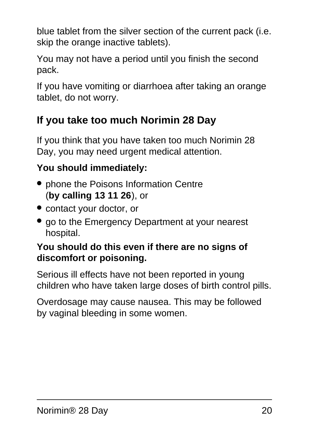blue tablet from the silver section of the current pack (i.e. skip the orange inactive tablets).

You may not have a period until you finish the second pack.

If you have vomiting or diarrhoea after taking an orange tablet, do not worry.

### **If you take too much Norimin 28 Day**

If you think that you have taken too much Norimin 28 Day, you may need urgent medical attention.

#### **You should immediately:**

- phone the Poisons Information Centre (**by calling 13 11 26**), or
- contact your doctor, or
- go to the Emergency Department at your nearest hospital.

#### **You should do this even if there are no signs of discomfort or poisoning.**

Serious ill effects have not been reported in young children who have taken large doses of birth control pills.

<span id="page-19-0"></span>Overdosage may cause nausea. This may be followed by vaginal bleeding in some women.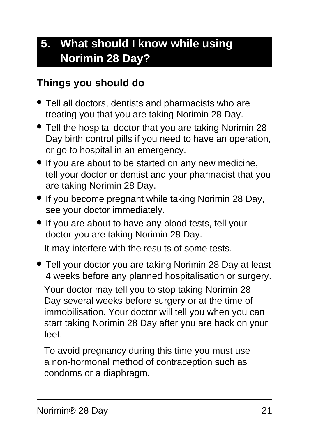## **5. What should I know while using Norimin 28 Day?**

#### **Things you should do**

- Tell all doctors, dentists and pharmacists who are treating you that you are taking Norimin 28 Day.
- Tell the hospital doctor that you are taking Norimin 28 Day birth control pills if you need to have an operation, or go to hospital in an emergency.
- If you are about to be started on any new medicine, tell your doctor or dentist and your pharmacist that you are taking Norimin 28 Day.
- If you become pregnant while taking Norimin 28 Day, see your doctor immediately.
- If you are about to have any blood tests, tell your doctor you are taking Norimin 28 Day.

It may interfere with the results of some tests.

• Tell your doctor you are taking Norimin 28 Day at least 4 weeks before any planned hospitalisation or surgery. Your doctor may tell you to stop taking Norimin 28 Day several weeks before surgery or at the time of immobilisation. Your doctor will tell you when you can start taking Norimin 28 Day after you are back on your feet.

To avoid pregnancy during this time you must use a non-hormonal method of contraception such as condoms or a diaphragm.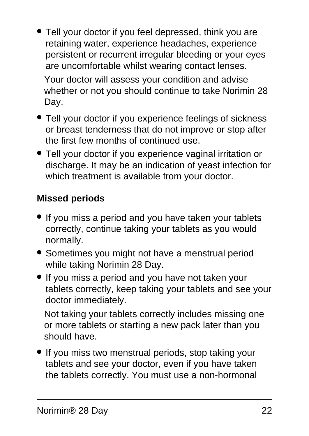- Tell your doctor if you feel depressed, think you are retaining water, experience headaches, experience persistent or recurrent irregular bleeding or your eyes are uncomfortable whilst wearing contact lenses. Your doctor will assess your condition and advise whether or not you should continue to take Norimin 28 Day.
- Tell your doctor if you experience feelings of sickness or breast tenderness that do not improve or stop after the first few months of continued use.
- Tell your doctor if you experience vaginal irritation or discharge. It may be an indication of yeast infection for which treatment is available from your doctor.

#### **Missed periods**

- If you miss a period and you have taken your tablets correctly, continue taking your tablets as you would normally.
- Sometimes you might not have a menstrual period while taking Norimin 28 Day.
- If you miss a period and you have not taken your tablets correctly, keep taking your tablets and see your doctor immediately.

Not taking your tablets correctly includes missing one or more tablets or starting a new pack later than you should have.

• If you miss two menstrual periods, stop taking your tablets and see your doctor, even if you have taken the tablets correctly. You must use a non-hormonal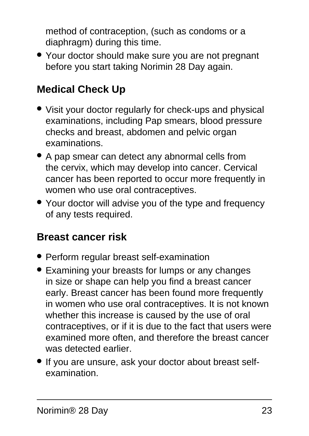method of contraception, (such as condoms or a diaphragm) during this time.

• Your doctor should make sure you are not pregnant before you start taking Norimin 28 Day again.

### **Medical Check Up**

- Visit your doctor regularly for check-ups and physical examinations, including Pap smears, blood pressure checks and breast, abdomen and pelvic organ examinations.
- A pap smear can detect any abnormal cells from the cervix, which may develop into cancer. Cervical cancer has been reported to occur more frequently in women who use oral contraceptives.
- Your doctor will advise you of the type and frequency of any tests required.

#### **Breast cancer risk**

- Perform regular breast self-examination
- Examining your breasts for lumps or any changes in size or shape can help you find a breast cancer early. Breast cancer has been found more frequently in women who use oral contraceptives. It is not known whether this increase is caused by the use of oral contraceptives, or if it is due to the fact that users were examined more often, and therefore the breast cancer was detected earlier.
- If you are unsure, ask your doctor about breast selfexamination.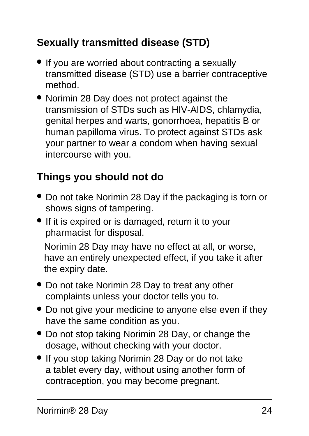### **Sexually transmitted disease (STD)**

- If you are worried about contracting a sexually transmitted disease (STD) use a barrier contraceptive method.
- Norimin 28 Day does not protect against the transmission of STDs such as HIV-AIDS, chlamydia, genital herpes and warts, gonorrhoea, hepatitis B or human papilloma virus. To protect against STDs ask your partner to wear a condom when having sexual intercourse with you.

### **Things you should not do**

- Do not take Norimin 28 Day if the packaging is torn or shows signs of tampering.
- If it is expired or is damaged, return it to your pharmacist for disposal.

Norimin 28 Day may have no effect at all, or worse, have an entirely unexpected effect, if you take it after the expiry date.

- Do not take Norimin 28 Day to treat any other complaints unless your doctor tells you to.
- Do not give your medicine to anyone else even if they have the same condition as you.
- Do not stop taking Norimin 28 Day, or change the dosage, without checking with your doctor.
- If you stop taking Norimin 28 Day or do not take a tablet every day, without using another form of contraception, you may become pregnant.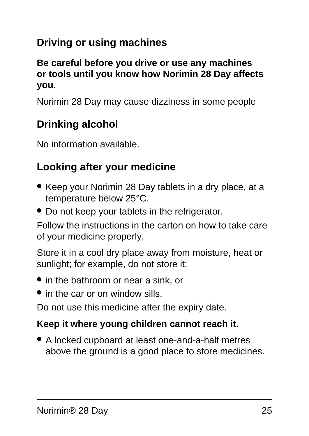### **Driving or using machines**

#### **Be careful before you drive or use any machines or tools until you know how Norimin 28 Day affects you.**

Norimin 28 Day may cause dizziness in some people

#### **Drinking alcohol**

No information available.

#### **Looking after your medicine**

- Keep your Norimin 28 Day tablets in a dry place, at a temperature below 25°C.
- Do not keep your tablets in the refrigerator.

Follow the instructions in the carton on how to take care of your medicine properly.

Store it in a cool dry place away from moisture, heat or sunlight; for example, do not store it:

- in the bathroom or near a sink, or
- in the car or on window sills.

Do not use this medicine after the expiry date.

#### **Keep it where young children cannot reach it.**

● A locked cupboard at least one-and-a-half metres above the ground is a good place to store medicines.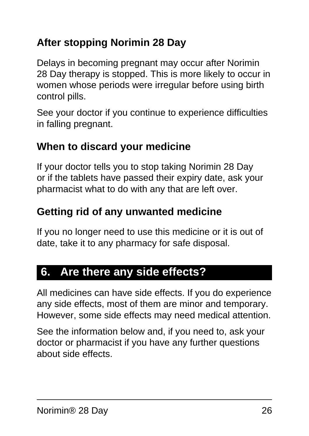### **After stopping Norimin 28 Day**

Delays in becoming pregnant may occur after Norimin 28 Day therapy is stopped. This is more likely to occur in women whose periods were irregular before using birth control pills.

See your doctor if you continue to experience difficulties in falling pregnant.

#### **When to discard your medicine**

If your doctor tells you to stop taking Norimin 28 Day or if the tablets have passed their expiry date, ask your pharmacist what to do with any that are left over.

#### **Getting rid of any unwanted medicine**

If you no longer need to use this medicine or it is out of date, take it to any pharmacy for safe disposal.

## <span id="page-25-0"></span>**6. Are there any side effects?**

All medicines can have side effects. If you do experience any side effects, most of them are minor and temporary. However, some side effects may need medical attention.

See the information below and, if you need to, ask your doctor or pharmacist if you have any further questions about side effects.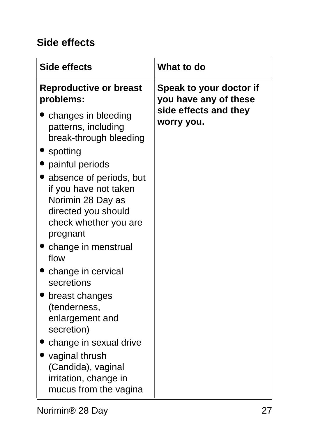#### **Side effects**

| Side effects                                                                                                                      | What to do                                       |
|-----------------------------------------------------------------------------------------------------------------------------------|--------------------------------------------------|
| <b>Reproductive or breast</b><br>problems:                                                                                        | Speak to your doctor if<br>you have any of these |
| changes in bleeding<br>patterns, including<br>break-through bleeding                                                              | side effects and they<br>worry you.              |
| spotting                                                                                                                          |                                                  |
| painful periods                                                                                                                   |                                                  |
| absence of periods, but<br>if you have not taken<br>Norimin 28 Day as<br>directed you should<br>check whether you are<br>pregnant |                                                  |
| change in menstrual<br>flow                                                                                                       |                                                  |
| change in cervical<br>secretions                                                                                                  |                                                  |
| breast changes<br>(tenderness,<br>enlargement and<br>secretion)                                                                   |                                                  |
| change in sexual drive                                                                                                            |                                                  |
| vaginal thrush<br>(Candida), vaginal<br>irritation, change in<br>mucus from the vagina                                            |                                                  |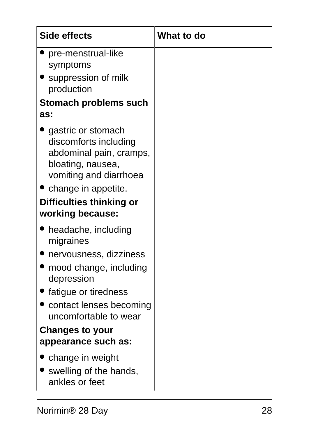| Side effects                                                                                                                                                                                   | What to do |
|------------------------------------------------------------------------------------------------------------------------------------------------------------------------------------------------|------------|
| pre-menstrual-like<br>symptoms                                                                                                                                                                 |            |
| • suppression of milk<br>production                                                                                                                                                            |            |
| Stomach problems such<br>as:                                                                                                                                                                   |            |
| gastric or stomach<br>discomforts including<br>abdominal pain, cramps,<br>bloating, nausea,<br>vomiting and diarrhoea<br>• change in appetite.<br>Difficulties thinking or<br>working because: |            |
| headache, including                                                                                                                                                                            |            |
| migraines                                                                                                                                                                                      |            |
| nervousness, dizziness<br>mood change, including<br>depression                                                                                                                                 |            |
| fatigue or tiredness                                                                                                                                                                           |            |
| contact lenses becoming<br>uncomfortable to wear                                                                                                                                               |            |
| <b>Changes to your</b>                                                                                                                                                                         |            |
| appearance such as:                                                                                                                                                                            |            |
| change in weight<br>swelling of the hands,<br>ankles or feet                                                                                                                                   |            |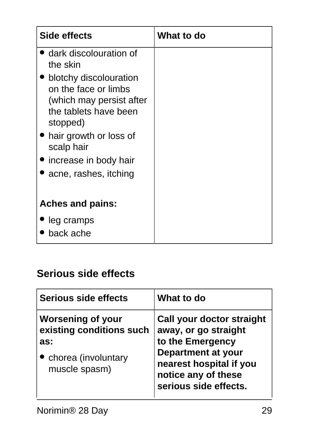| Side effects                                                               | What to do |
|----------------------------------------------------------------------------|------------|
| dark discolouration of<br>the skin                                         |            |
| blotchy discolouration<br>on the face or limbs<br>(which may persist after |            |
| the tablets have been<br>stopped)                                          |            |
| • hair growth or loss of<br>scalp hair                                     |            |
| increase in body hair                                                      |            |
| acne, rashes, itching                                                      |            |
| <b>Aches and pains:</b>                                                    |            |
| leg cramps<br>back ache                                                    |            |

#### **Serious side effects**

| Serious side effects                                                                                | What to do                                                                                                                                                                    |
|-----------------------------------------------------------------------------------------------------|-------------------------------------------------------------------------------------------------------------------------------------------------------------------------------|
| <b>Worsening of your</b><br>existing conditions such<br>as:<br>chorea (involuntary<br>muscle spasm) | Call your doctor straight<br>away, or go straight<br>to the Emergency<br><b>Department at your</b><br>nearest hospital if you<br>notice any of these<br>serious side effects. |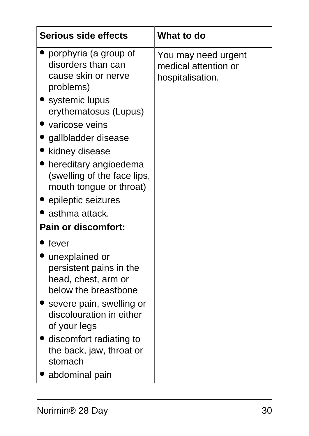| <b>Serious side effects</b>                                                                                                                                                                                                                                              | What to do                                                      |
|--------------------------------------------------------------------------------------------------------------------------------------------------------------------------------------------------------------------------------------------------------------------------|-----------------------------------------------------------------|
| porphyria (a group of<br>disorders than can<br>cause skin or nerve<br>problems)<br>systemic lupus<br>erythematosus (Lupus)<br>varicose veins<br>gallbladder disease<br>kidney disease<br>hereditary angioedema<br>(swelling of the face lips,<br>mouth tongue or throat) | You may need urgent<br>medical attention or<br>hospitalisation. |
| epileptic seizures                                                                                                                                                                                                                                                       |                                                                 |
| asthma attack.                                                                                                                                                                                                                                                           |                                                                 |
| <b>Pain or discomfort:</b>                                                                                                                                                                                                                                               |                                                                 |
| fever                                                                                                                                                                                                                                                                    |                                                                 |
| unexplained or<br>persistent pains in the<br>head, chest, arm or<br>below the breastbone<br>severe pain, swelling or<br>discolouration in either<br>of your legs                                                                                                         |                                                                 |
| discomfort radiating to<br>the back, jaw, throat or<br>stomach<br>abdominal pain                                                                                                                                                                                         |                                                                 |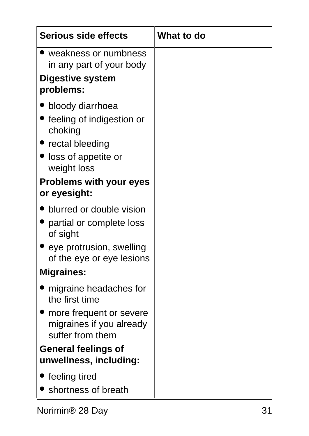| <b>Serious side effects</b>                                                                                                                                                     | <b>What to do</b> |
|---------------------------------------------------------------------------------------------------------------------------------------------------------------------------------|-------------------|
| $\blacktriangleright$ weakness or numbness<br>in any part of your body                                                                                                          |                   |
| <b>Digestive system</b><br>problems:                                                                                                                                            |                   |
| bloody diarrhoea<br>• feeling of indigestion or<br>choking<br>$\bullet$ rectal bleeding<br>loss of appetite or<br>weight loss<br><b>Problems with your eyes</b><br>or eyesight: |                   |
| blurred or double vision                                                                                                                                                        |                   |
| • partial or complete loss<br>of sight<br>eye protrusion, swelling<br>of the eye or eye lesions                                                                                 |                   |
| <b>Migraines:</b>                                                                                                                                                               |                   |
| migraine headaches for<br>the first time<br>more frequent or severe<br>migraines if you already<br>suffer from them                                                             |                   |
| <b>General feelings of</b><br>unwellness, including:                                                                                                                            |                   |
| $\bullet$ feeling tired<br>Shortness of breath                                                                                                                                  |                   |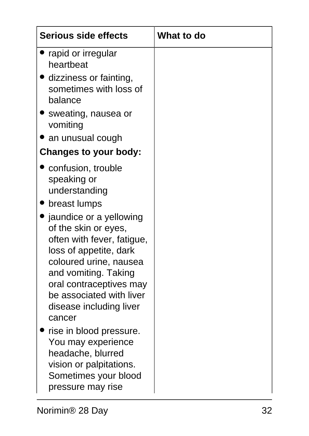| <b>Serious side effects</b>                                                                                                                                          | <b>What to do</b> |
|----------------------------------------------------------------------------------------------------------------------------------------------------------------------|-------------------|
| rapid or irregular<br>heartbeat                                                                                                                                      |                   |
| dizziness or fainting,<br>sometimes with loss of<br>balance                                                                                                          |                   |
| Sweating, nausea or<br>vomiting                                                                                                                                      |                   |
| an unusual cough                                                                                                                                                     |                   |
| <b>Changes to your body:</b>                                                                                                                                         |                   |
| confusion, trouble<br>speaking or<br>understanding<br>breast lumps<br>$\bullet$ jaundice or a yellowing<br>of the skin or eyes,<br>often with fever, fatigue,        |                   |
| loss of appetite, dark<br>coloured urine, nausea<br>and vomiting. Taking<br>oral contraceptives may<br>be associated with liver<br>disease including liver<br>cancer |                   |
| rise in blood pressure.<br>You may experience<br>headache, blurred<br>vision or palpitations.<br>Sometimes your blood<br>pressure may rise                           |                   |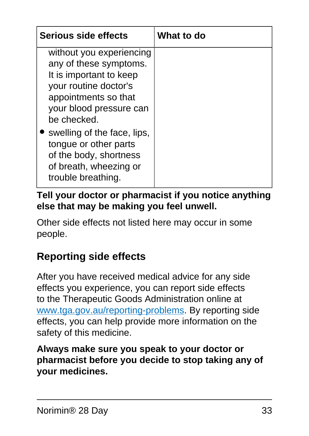| <b>Serious side effects</b>                                                                                                                                              | What to do |
|--------------------------------------------------------------------------------------------------------------------------------------------------------------------------|------------|
| without you experiencing<br>any of these symptoms.<br>It is important to keep<br>your routine doctor's<br>appointments so that<br>your blood pressure can<br>be checked. |            |
| swelling of the face, lips,<br>tongue or other parts<br>of the body, shortness<br>of breath, wheezing or<br>trouble breathing.                                           |            |

#### **Tell your doctor or pharmacist if you notice anything else that may be making you feel unwell.**

Other side effects not listed here may occur in some people.

### **Reporting side effects**

After you have received medical advice for any side effects you experience, you can report side effects to the Therapeutic Goods Administration online at [www.tga.gov.au/reporting-problems.](http://www.tga.gov.au/reporting-problems) By reporting side effects, you can help provide more information on the safety of this medicine.

#### <span id="page-32-0"></span>**Always make sure you speak to your doctor or pharmacist before you decide to stop taking any of your medicines.**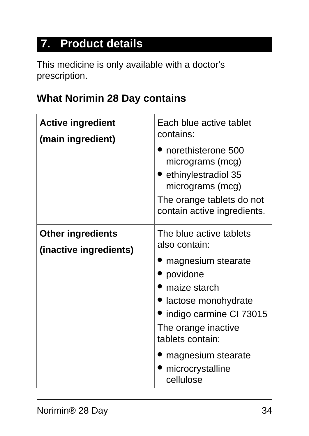## **7. Product details**

This medicine is only available with a doctor's prescription.

#### **What Norimin 28 Day contains**

| <b>Active ingredient</b><br>(main ingredient)      | Each blue active tablet<br>contains:<br>norethisterone 500<br>micrograms (mcg)<br>ethinylestradiol 35<br>micrograms (mcg)<br>The orange tablets do not<br>contain active ingredients.                                                          |
|----------------------------------------------------|------------------------------------------------------------------------------------------------------------------------------------------------------------------------------------------------------------------------------------------------|
| <b>Other ingredients</b><br>(inactive ingredients) | The blue active tablets<br>also contain:<br>magnesium stearate<br>povidone<br>maize starch<br>lactose monohydrate<br>indigo carmine CI 73015<br>The orange inactive<br>tablets contain:<br>magnesium stearate<br>microcrystalline<br>cellulose |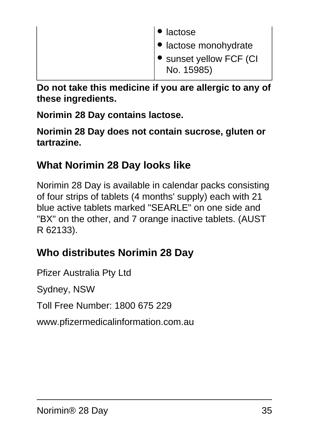| ∣ <sup>●</sup> lactose                                   |
|----------------------------------------------------------|
| ● lactose monohydrate<br>$\bullet$ sunset yellow FCF (CI |
| No. 15985)                                               |

**Do not take this medicine if you are allergic to any of these ingredients.**

**Norimin 28 Day contains lactose.**

**Norimin 28 Day does not contain sucrose, gluten or tartrazine.**

#### **What Norimin 28 Day looks like**

Norimin 28 Day is available in calendar packs consisting of four strips of tablets (4 months' supply) each with 21 blue active tablets marked "SEARLE" on one side and "BX" on the other, and 7 orange inactive tablets. (AUST R 62133).

### **Who distributes Norimin 28 Day**

Pfizer Australia Pty Ltd

Sydney, NSW

Toll Free Number: 1800 675 229

www.pfizermedicalinformation.com.au